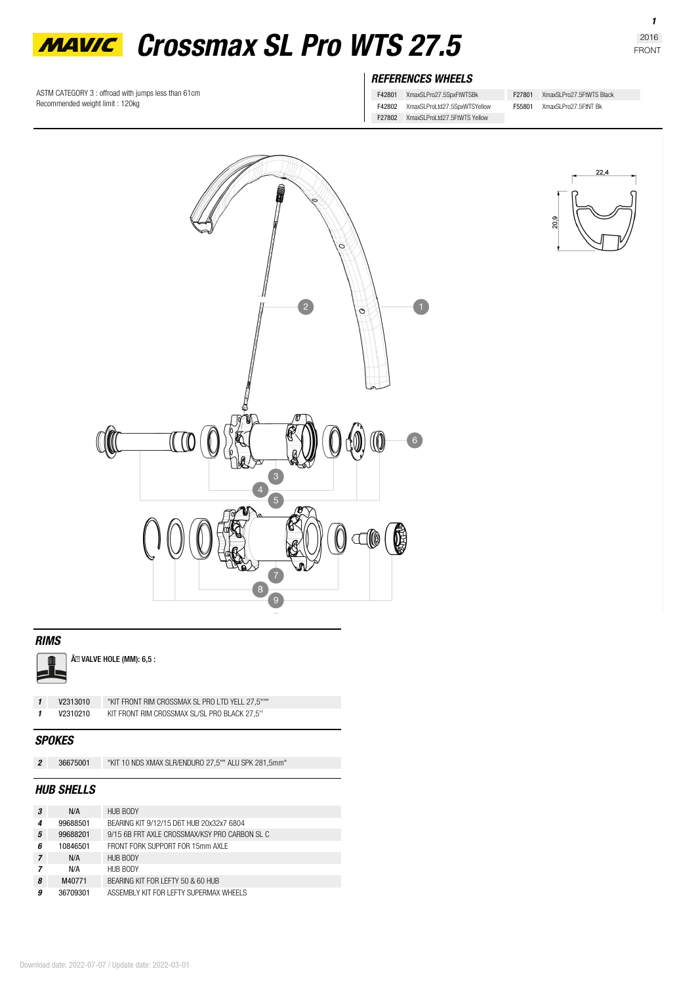

*REFERENCES WHEELS*

F42801 XmaxSLPro27.5SpxFtWTSBk

F42802 XmaxSLProLtd27.5SpxWTSYellow

- F27802 XmaxSLProLtd27.5FtWTS Yellow
- F55801 XmaxSLPro27.5FtNT Bk

F27801 XmaxSLPro27.5FtWTS Black



### *RIMS*



Ã<sup>2</sup> VALVE HOLE (MM): 6,5 :

ASTM CATEGORY 3 : offroad with jumps less than 61cm

Recommended weight limit : 120kg

| V2313010 |  |
|----------|--|
| V2310210 |  |

*1* **V2313010** "KIT FRONT RIM CROSSMAX SL PRO LTD YELL 27,5""" *1* **V2310210** KIT FRONT RIM CROSSMAX SL/SL PRO BLACK 27,5''

# *SPOKES*

|  | 36675001 | "KIT 10 NDS XMAX SLR/ENDURO 27,5"" ALU SPK 281,5mm" |
|--|----------|-----------------------------------------------------|
|--|----------|-----------------------------------------------------|

## *HUB SHELLS*

| 3              | N/A      | HUB BODY                                      |
|----------------|----------|-----------------------------------------------|
| 4              | 99688501 | BEARING KIT 9/12/15 D6T HUB 20x32x7 6804      |
| 5              | 99688201 | 9/15 6B FRT AXI E CROSSMAX/KSY PRO CARBON SLC |
| ĥ              | 10846501 | FRONT FORK SUPPORT FOR 15mm AXI F             |
| $\overline{7}$ | N/A      | HUB BODY                                      |
|                | N/A      | HUB BODY                                      |
| 8              | M40771   | BEARING KIT FOR LEFTY 50 & 60 HUB             |
| 9              | 36709301 | ASSEMBLY KIT FOR LEFTY SUPERMAX WHEELS        |

# $22,4$ 20,9